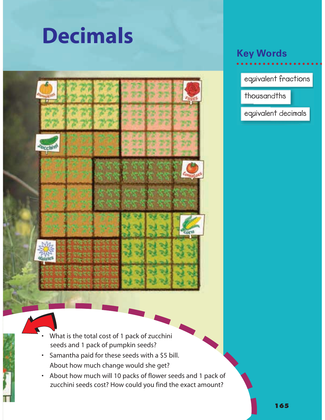## **Decimals**



## **Key Words**

**equivalent fractions**

**thousandths**

**equivalent decimals**

- What is the total cost of 1 pack of zucchini seeds and 1 pack of pumpkin seeds?
- Samantha paid for these seeds with a \$5 bill. About how much change would she get?
- About how much will 10 packs of flower seeds and 1 pack of zucchini seeds cost? How could you find the exact amount?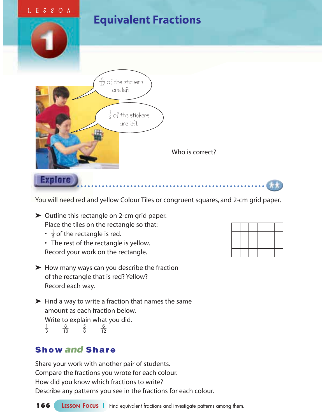

You will need red and yellow Colour Tiles or congruent squares, and 2-cm grid paper.

➤ Outline this rectangle on 2-cm grid paper. Place the tiles on the rectangle so that:

- $\cdot \frac{1}{6}$  $\frac{1}{6}$  of the rectangle is red.
- The rest of the rectangle is yellow. Record your work on the rectangle.
- ➤ How many ways can you describe the fraction of the rectangle that is red? Yellow? Record each way.
- ➤ Find a way to write a fraction that names the same amount as each fraction below. Write to explain what you did.  $\frac{1}{2}$ 3 - $\frac{8}{10}$   $\frac{5}{8}$ 8 - $\frac{6}{12}$

## **Show and Share**

Share your work with another pair of students. Compare the fractions you wrote for each colour. How did you know which fractions to write? Describe any patterns you see in the fractions for each colour.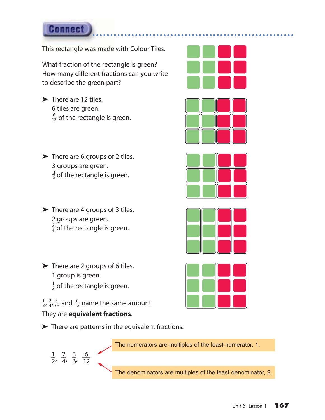This rectangle was made with Colour Tiles.

What fraction of the rectangle is green? How many different fractions can you write to describe the green part?

- ▶ There are 12 tiles. 6 tiles are green. -1 6  $\frac{6}{2}$  of the rectangle is green.
- ➤ There are 6 groups of 2 tiles. 3 groups are green.  $\frac{3}{5}$  $\frac{3}{6}$  of the rectangle is green.
- $\blacktriangleright$  There are 4 groups of 3 tiles. 2 groups are green.  $\frac{2}{4}$  $\frac{2}{4}$  of the rectangle is green.
- ➤ There are 2 groups of 6 tiles. 1 group is green.  $\frac{1}{2}$  $\frac{1}{2}$  of the rectangle is green.

 $\frac{5}{6}$ ,  $\frac{1}{1}$ 6  $\overline{2}$ 

 $\frac{1}{2}$  $\frac{1}{2}$ ,  $\frac{2}{4}$  $\frac{2}{4}$ ,  $\frac{3}{6}$ 

 $\frac{1}{2}$  $\frac{1}{2}$ ,  $\frac{2}{4}$  $\frac{2}{4}$ ,  $\frac{3}{6}$  $\frac{3}{6}$ , and  $\frac{6}{12}$ 6  $\frac{5}{2}$  name the same amount. They are **equivalent fractions**.

► There are patterns in the equivalent fractions.

The numerators are multiples of the least numerator, 1.

The denominators are multiples of the least denominator, 2.









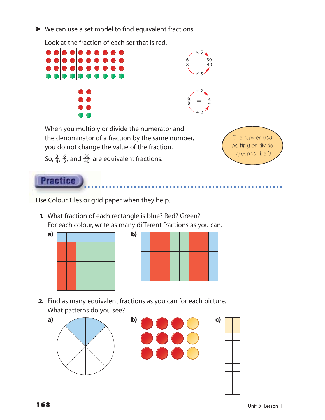➤ We can use a set model to find equivalent fractions.

Look at the fraction of each set that is red.





 $\times$  5

30

6

When you multiply or divide the numerator and the denominator of a fraction by the same number, you do not change the value of the fraction.

The number you multiply or divide by cannot be 0.

So,  $\frac{3}{4}$  $\frac{3}{4}$ ,  $\frac{6}{8}$  $\frac{6}{8}$ , and  $\frac{30}{40}$  $\frac{30}{40}$  are equivalent fractions.



Use Colour Tiles or grid paper when they help.

**1.** What fraction of each rectangle is blue? Red? Green? For each colour, write as many different fractions as you can.



**2.** Find as many equivalent fractions as you can for each picture. What patterns do you see?